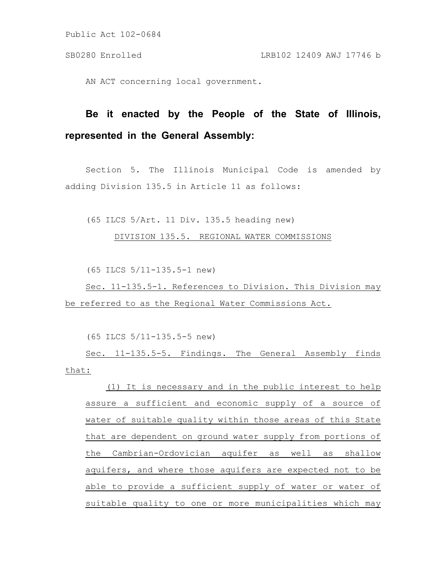AN ACT concerning local government.

## **Be it enacted by the People of the State of Illinois, represented in the General Assembly:**

Section 5. The Illinois Municipal Code is amended by adding Division 135.5 in Article 11 as follows:

(65 ILCS 5/Art. 11 Div. 135.5 heading new)

DIVISION 135.5. REGIONAL WATER COMMISSIONS

(65 ILCS 5/11-135.5-1 new)

Sec. 11-135.5-1. References to Division. This Division may be referred to as the Regional Water Commissions Act.

(65 ILCS 5/11-135.5-5 new)

Sec. 11-135.5-5. Findings. The General Assembly finds that:

(1) It is necessary and in the public interest to help assure a sufficient and economic supply of a source of water of suitable quality within those areas of this State that are dependent on ground water supply from portions of the Cambrian-Ordovician aquifer as well as shallow aquifers, and where those aquifers are expected not to be able to provide a sufficient supply of water or water of suitable quality to one or more municipalities which may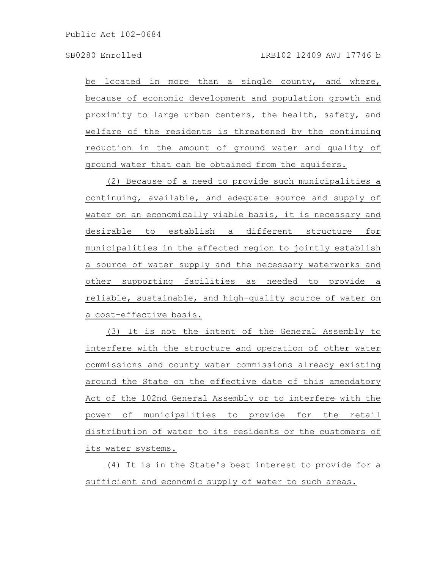be located in more than a single county, and where, because of economic development and population growth and proximity to large urban centers, the health, safety, and welfare of the residents is threatened by the continuing reduction in the amount of ground water and quality of ground water that can be obtained from the aquifers.

(2) Because of a need to provide such municipalities a continuing, available, and adequate source and supply of water on an economically viable basis, it is necessary and desirable to establish a different structure for municipalities in the affected region to jointly establish a source of water supply and the necessary waterworks and other supporting facilities as needed to provide a reliable, sustainable, and high-quality source of water on a cost-effective basis.

(3) It is not the intent of the General Assembly to interfere with the structure and operation of other water commissions and county water commissions already existing around the State on the effective date of this amendatory Act of the 102nd General Assembly or to interfere with the power of municipalities to provide for the retail distribution of water to its residents or the customers of its water systems.

(4) It is in the State's best interest to provide for a sufficient and economic supply of water to such areas.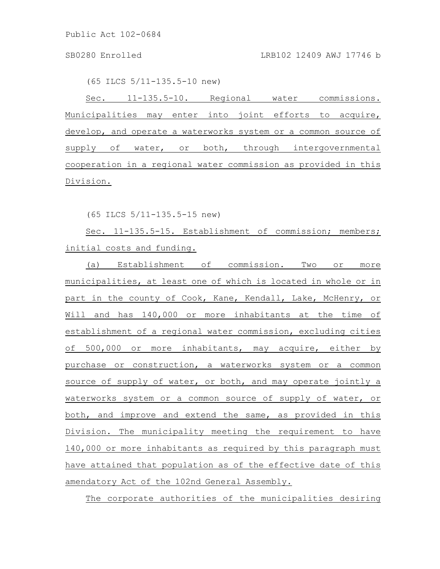## SB0280 Enrolled LRB102 12409 AWJ 17746 b

(65 ILCS 5/11-135.5-10 new)

Sec. 11-135.5-10. Regional water commissions. Municipalities may enter into joint efforts to acquire, develop, and operate a waterworks system or a common source of supply of water, or both, through intergovernmental cooperation in a regional water commission as provided in this Division.

(65 ILCS 5/11-135.5-15 new)

Sec. 11-135.5-15. Establishment of commission; members; initial costs and funding.

(a) Establishment of commission. Two or more municipalities, at least one of which is located in whole or in part in the county of Cook, Kane, Kendall, Lake, McHenry, or Will and has 140,000 or more inhabitants at the time of establishment of a regional water commission, excluding cities of 500,000 or more inhabitants, may acquire, either by purchase or construction, a waterworks system or a common source of supply of water, or both, and may operate jointly a waterworks system or a common source of supply of water, or both, and improve and extend the same, as provided in this Division. The municipality meeting the requirement to have 140,000 or more inhabitants as required by this paragraph must have attained that population as of the effective date of this amendatory Act of the 102nd General Assembly.

The corporate authorities of the municipalities desiring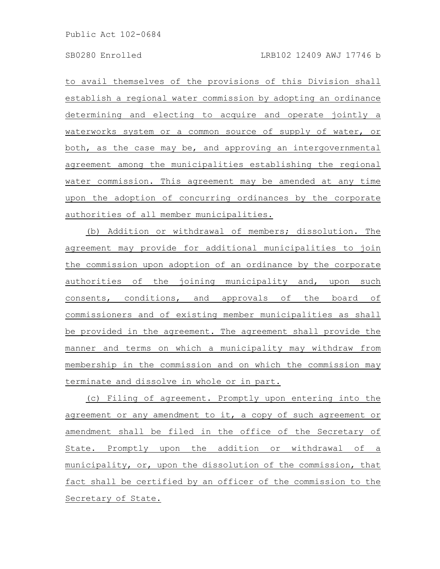to avail themselves of the provisions of this Division shall establish a regional water commission by adopting an ordinance determining and electing to acquire and operate jointly a waterworks system or a common source of supply of water, or both, as the case may be, and approving an intergovernmental agreement among the municipalities establishing the regional water commission. This agreement may be amended at any time upon the adoption of concurring ordinances by the corporate authorities of all member municipalities.

(b) Addition or withdrawal of members; dissolution. The agreement may provide for additional municipalities to join the commission upon adoption of an ordinance by the corporate authorities of the joining municipality and, upon such consents, conditions, and approvals of the board of commissioners and of existing member municipalities as shall be provided in the agreement. The agreement shall provide the manner and terms on which a municipality may withdraw from membership in the commission and on which the commission may terminate and dissolve in whole or in part.

(c) Filing of agreement. Promptly upon entering into the agreement or any amendment to it, a copy of such agreement or amendment shall be filed in the office of the Secretary of State. Promptly upon the addition or withdrawal of a municipality, or, upon the dissolution of the commission, that fact shall be certified by an officer of the commission to the Secretary of State.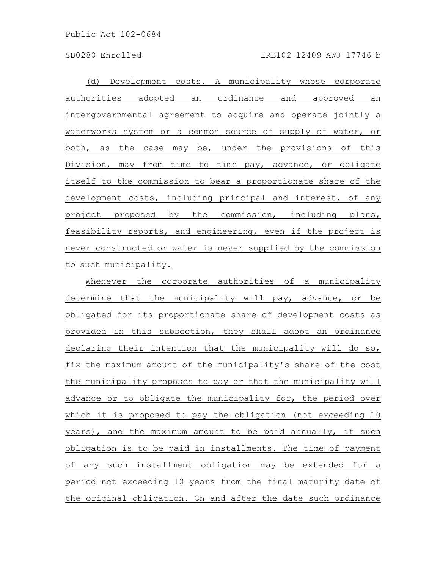(d) Development costs. A municipality whose corporate authorities adopted an ordinance and approved an intergovernmental agreement to acquire and operate jointly a waterworks system or a common source of supply of water, or both, as the case may be, under the provisions of this Division, may from time to time pay, advance, or obligate itself to the commission to bear a proportionate share of the development costs, including principal and interest, of any project proposed by the commission, including plans, feasibility reports, and engineering, even if the project is never constructed or water is never supplied by the commission to such municipality.

Whenever the corporate authorities of a municipality determine that the municipality will pay, advance, or be obligated for its proportionate share of development costs as provided in this subsection, they shall adopt an ordinance declaring their intention that the municipality will do so, fix the maximum amount of the municipality's share of the cost the municipality proposes to pay or that the municipality will advance or to obligate the municipality for, the period over which it is proposed to pay the obligation (not exceeding 10 years), and the maximum amount to be paid annually, if such obligation is to be paid in installments. The time of payment of any such installment obligation may be extended for a period not exceeding 10 years from the final maturity date of the original obligation. On and after the date such ordinance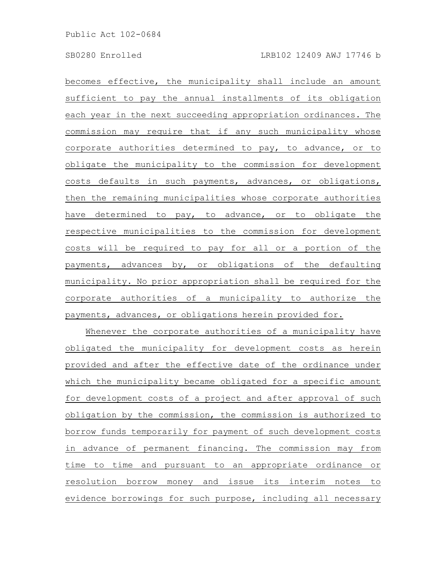becomes effective, the municipality shall include an amount sufficient to pay the annual installments of its obligation each year in the next succeeding appropriation ordinances. The commission may require that if any such municipality whose corporate authorities determined to pay, to advance, or to obligate the municipality to the commission for development costs defaults in such payments, advances, or obligations, then the remaining municipalities whose corporate authorities have determined to pay, to advance, or to obligate the respective municipalities to the commission for development costs will be required to pay for all or a portion of the payments, advances by, or obligations of the defaulting municipality. No prior appropriation shall be required for the corporate authorities of a municipality to authorize the payments, advances, or obligations herein provided for.

Whenever the corporate authorities of a municipality have obligated the municipality for development costs as herein provided and after the effective date of the ordinance under which the municipality became obligated for a specific amount for development costs of a project and after approval of such obligation by the commission, the commission is authorized to borrow funds temporarily for payment of such development costs in advance of permanent financing. The commission may from time to time and pursuant to an appropriate ordinance or resolution borrow money and issue its interim notes to evidence borrowings for such purpose, including all necessary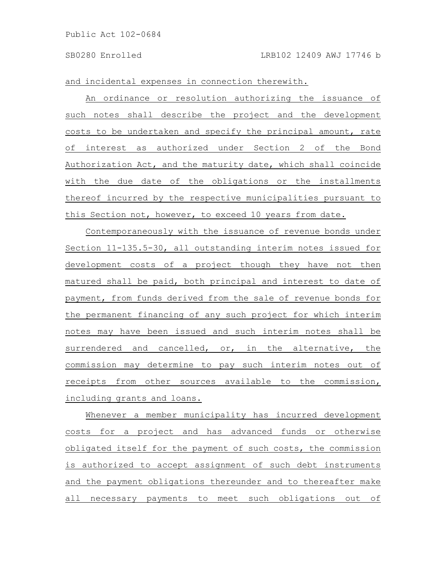and incidental expenses in connection therewith.

An ordinance or resolution authorizing the issuance of such notes shall describe the project and the development costs to be undertaken and specify the principal amount, rate of interest as authorized under Section 2 of the Bond Authorization Act, and the maturity date, which shall coincide with the due date of the obligations or the installments thereof incurred by the respective municipalities pursuant to this Section not, however, to exceed 10 years from date.

Contemporaneously with the issuance of revenue bonds under Section 11-135.5-30, all outstanding interim notes issued for development costs of a project though they have not then matured shall be paid, both principal and interest to date of payment, from funds derived from the sale of revenue bonds for the permanent financing of any such project for which interim notes may have been issued and such interim notes shall be surrendered and cancelled, or, in the alternative, the commission may determine to pay such interim notes out of receipts from other sources available to the commission, including grants and loans.

Whenever a member municipality has incurred development costs for a project and has advanced funds or otherwise obligated itself for the payment of such costs, the commission is authorized to accept assignment of such debt instruments and the payment obligations thereunder and to thereafter make all necessary payments to meet such obligations out of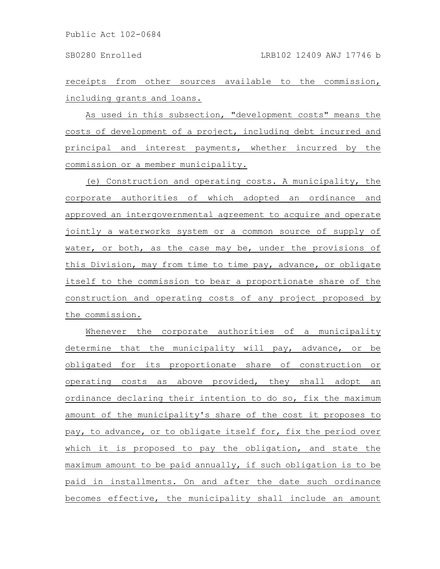receipts from other sources available to the commission, including grants and loans.

As used in this subsection, "development costs" means the costs of development of a project, including debt incurred and principal and interest payments, whether incurred by the commission or a member municipality.

(e) Construction and operating costs. A municipality, the corporate authorities of which adopted an ordinance and approved an intergovernmental agreement to acquire and operate jointly a waterworks system or a common source of supply of water, or both, as the case may be, under the provisions of this Division, may from time to time pay, advance, or obligate itself to the commission to bear a proportionate share of the construction and operating costs of any project proposed by the commission.

Whenever the corporate authorities of a municipality determine that the municipality will pay, advance, or be obligated for its proportionate share of construction or operating costs as above provided, they shall adopt an ordinance declaring their intention to do so, fix the maximum amount of the municipality's share of the cost it proposes to pay, to advance, or to obligate itself for, fix the period over which it is proposed to pay the obligation, and state the maximum amount to be paid annually, if such obligation is to be paid in installments. On and after the date such ordinance becomes effective, the municipality shall include an amount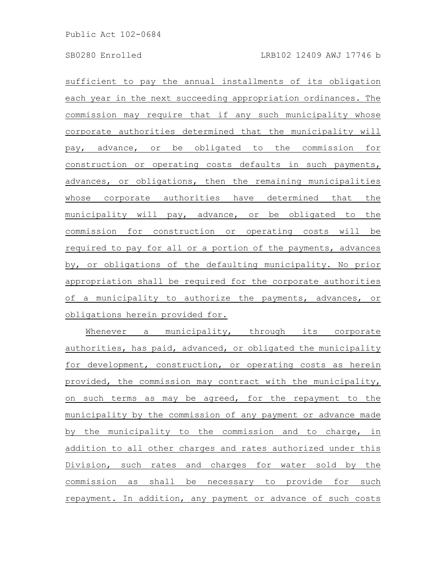sufficient to pay the annual installments of its obligation each year in the next succeeding appropriation ordinances. The commission may require that if any such municipality whose corporate authorities determined that the municipality will pay, advance, or be obligated to the commission for construction or operating costs defaults in such payments, advances, or obligations, then the remaining municipalities whose corporate authorities have determined that the municipality will pay, advance, or be obligated to the commission for construction or operating costs will be required to pay for all or a portion of the payments, advances by, or obligations of the defaulting municipality. No prior appropriation shall be required for the corporate authorities of a municipality to authorize the payments, advances, or obligations herein provided for.

Whenever a municipality, through its corporate authorities, has paid, advanced, or obligated the municipality for development, construction, or operating costs as herein provided, the commission may contract with the municipality, on such terms as may be agreed, for the repayment to the municipality by the commission of any payment or advance made by the municipality to the commission and to charge, in addition to all other charges and rates authorized under this Division, such rates and charges for water sold by the commission as shall be necessary to provide for such repayment. In addition, any payment or advance of such costs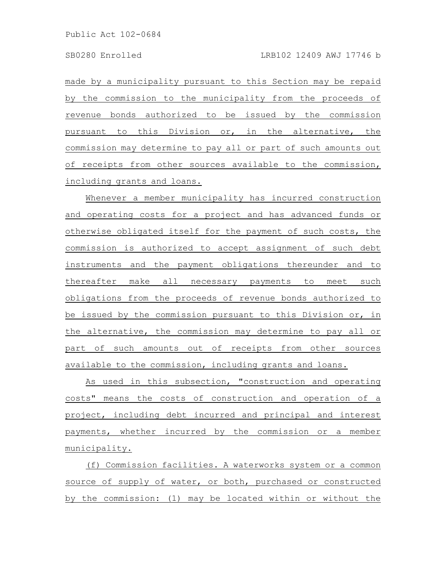made by a municipality pursuant to this Section may be repaid by the commission to the municipality from the proceeds of revenue bonds authorized to be issued by the commission pursuant to this Division or, in the alternative, the commission may determine to pay all or part of such amounts out of receipts from other sources available to the commission, including grants and loans.

Whenever a member municipality has incurred construction and operating costs for a project and has advanced funds or otherwise obligated itself for the payment of such costs, the commission is authorized to accept assignment of such debt instruments and the payment obligations thereunder and to thereafter make all necessary payments to meet such obligations from the proceeds of revenue bonds authorized to be issued by the commission pursuant to this Division or, in the alternative, the commission may determine to pay all or part of such amounts out of receipts from other sources available to the commission, including grants and loans.

As used in this subsection, "construction and operating costs" means the costs of construction and operation of a project, including debt incurred and principal and interest payments, whether incurred by the commission or a member municipality.

(f) Commission facilities. A waterworks system or a common source of supply of water, or both, purchased or constructed by the commission: (1) may be located within or without the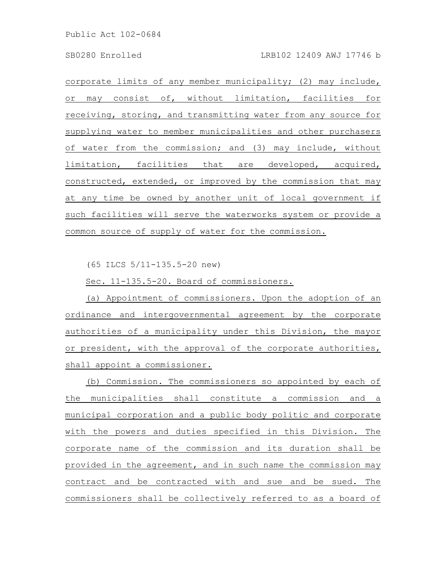corporate limits of any member municipality; (2) may include, or may consist of, without limitation, facilities for receiving, storing, and transmitting water from any source for supplying water to member municipalities and other purchasers of water from the commission; and (3) may include, without limitation, facilities that are developed, acquired, constructed, extended, or improved by the commission that may at any time be owned by another unit of local government if such facilities will serve the waterworks system or provide a common source of supply of water for the commission.

(65 ILCS 5/11-135.5-20 new)

Sec. 11-135.5-20. Board of commissioners.

(a) Appointment of commissioners. Upon the adoption of an ordinance and intergovernmental agreement by the corporate authorities of a municipality under this Division, the mayor or president, with the approval of the corporate authorities, shall appoint a commissioner.

(b) Commission. The commissioners so appointed by each of the municipalities shall constitute a commission and a municipal corporation and a public body politic and corporate with the powers and duties specified in this Division. The corporate name of the commission and its duration shall be provided in the agreement, and in such name the commission may contract and be contracted with and sue and be sued. The commissioners shall be collectively referred to as a board of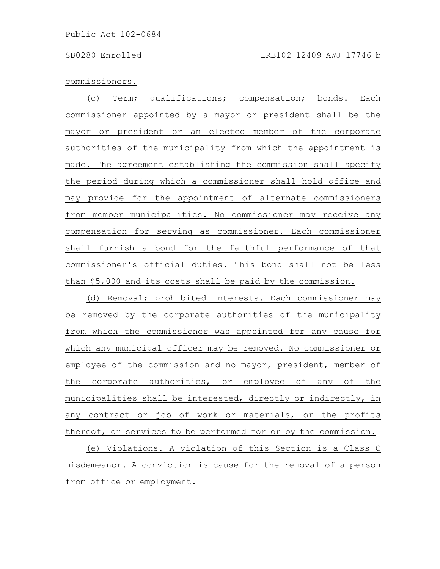## commissioners.

(c) Term; qualifications; compensation; bonds. Each commissioner appointed by a mayor or president shall be the mayor or president or an elected member of the corporate authorities of the municipality from which the appointment is made. The agreement establishing the commission shall specify the period during which a commissioner shall hold office and may provide for the appointment of alternate commissioners from member municipalities. No commissioner may receive any compensation for serving as commissioner. Each commissioner shall furnish a bond for the faithful performance of that commissioner's official duties. This bond shall not be less than \$5,000 and its costs shall be paid by the commission.

(d) Removal; prohibited interests. Each commissioner may be removed by the corporate authorities of the municipality from which the commissioner was appointed for any cause for which any municipal officer may be removed. No commissioner or employee of the commission and no mayor, president, member of the corporate authorities, or employee of any of the municipalities shall be interested, directly or indirectly, in any contract or job of work or materials, or the profits thereof, or services to be performed for or by the commission.

(e) Violations. A violation of this Section is a Class C misdemeanor. A conviction is cause for the removal of a person from office or employment.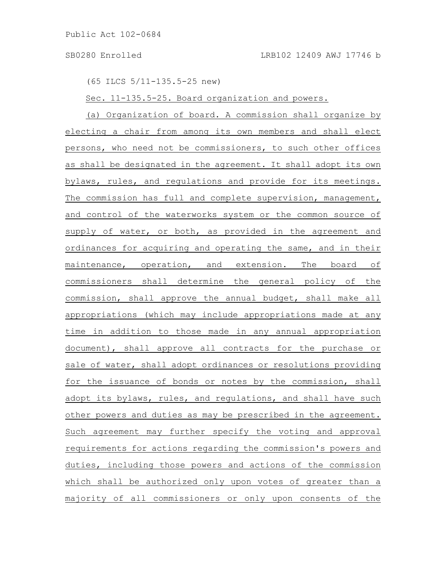(65 ILCS 5/11-135.5-25 new)

Sec. 11-135.5-25. Board organization and powers.

(a) Organization of board. A commission shall organize by electing a chair from among its own members and shall elect persons, who need not be commissioners, to such other offices as shall be designated in the agreement. It shall adopt its own bylaws, rules, and regulations and provide for its meetings. The commission has full and complete supervision, management, and control of the waterworks system or the common source of supply of water, or both, as provided in the agreement and ordinances for acquiring and operating the same, and in their maintenance, operation, and extension. The board of commissioners shall determine the general policy of the commission, shall approve the annual budget, shall make all appropriations (which may include appropriations made at any time in addition to those made in any annual appropriation document), shall approve all contracts for the purchase or sale of water, shall adopt ordinances or resolutions providing for the issuance of bonds or notes by the commission, shall adopt its bylaws, rules, and regulations, and shall have such other powers and duties as may be prescribed in the agreement. Such agreement may further specify the voting and approval requirements for actions regarding the commission's powers and duties, including those powers and actions of the commission which shall be authorized only upon votes of greater than a majority of all commissioners or only upon consents of the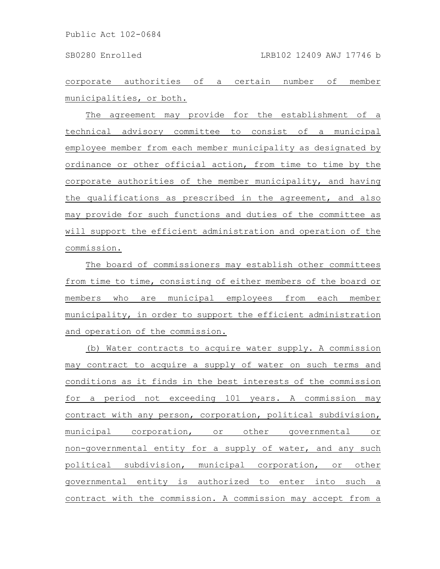corporate authorities of a certain number of member municipalities, or both.

The agreement may provide for the establishment of a technical advisory committee to consist of a municipal employee member from each member municipality as designated by ordinance or other official action, from time to time by the corporate authorities of the member municipality, and having the qualifications as prescribed in the agreement, and also may provide for such functions and duties of the committee as will support the efficient administration and operation of the commission.

The board of commissioners may establish other committees from time to time, consisting of either members of the board or members who are municipal employees from each member municipality, in order to support the efficient administration and operation of the commission.

(b) Water contracts to acquire water supply. A commission may contract to acquire a supply of water on such terms and conditions as it finds in the best interests of the commission for a period not exceeding 101 years. A commission may contract with any person, corporation, political subdivision, municipal corporation, or other governmental or non-governmental entity for a supply of water, and any such political subdivision, municipal corporation, or other governmental entity is authorized to enter into such a contract with the commission. A commission may accept from a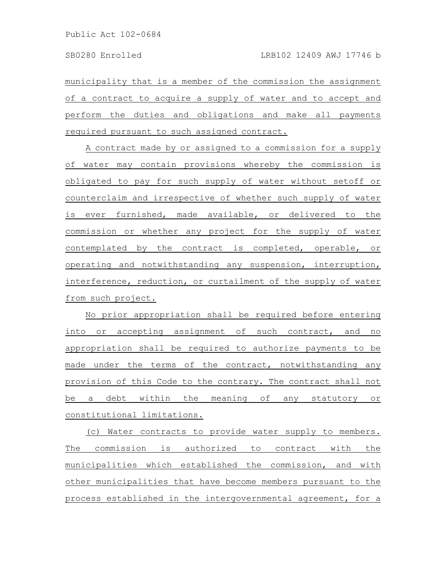municipality that is a member of the commission the assignment of a contract to acquire a supply of water and to accept and perform the duties and obligations and make all payments required pursuant to such assigned contract.

A contract made by or assigned to a commission for a supply of water may contain provisions whereby the commission is obligated to pay for such supply of water without setoff or counterclaim and irrespective of whether such supply of water is ever furnished, made available, or delivered to the commission or whether any project for the supply of water contemplated by the contract is completed, operable, or operating and notwithstanding any suspension, interruption, interference, reduction, or curtailment of the supply of water from such project.

No prior appropriation shall be required before entering into or accepting assignment of such contract, and no appropriation shall be required to authorize payments to be made under the terms of the contract, notwithstanding any provision of this Code to the contrary. The contract shall not be a debt within the meaning of any statutory or constitutional limitations.

(c) Water contracts to provide water supply to members. The commission is authorized to contract with the municipalities which established the commission, and with other municipalities that have become members pursuant to the process established in the intergovernmental agreement, for a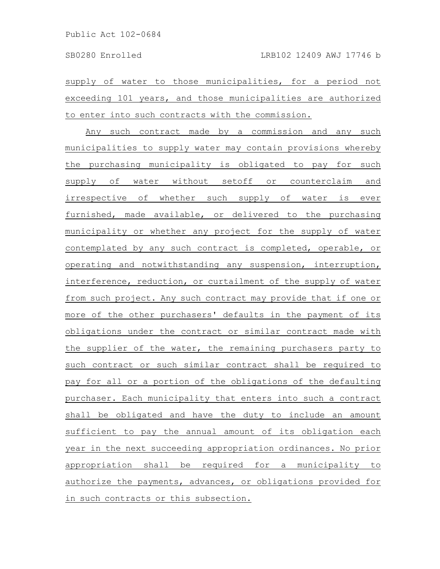supply of water to those municipalities, for a period not exceeding 101 years, and those municipalities are authorized to enter into such contracts with the commission.

Any such contract made by a commission and any such municipalities to supply water may contain provisions whereby the purchasing municipality is obligated to pay for such supply of water without setoff or counterclaim and irrespective of whether such supply of water is ever furnished, made available, or delivered to the purchasing municipality or whether any project for the supply of water contemplated by any such contract is completed, operable, or operating and notwithstanding any suspension, interruption, interference, reduction, or curtailment of the supply of water from such project. Any such contract may provide that if one or more of the other purchasers' defaults in the payment of its obligations under the contract or similar contract made with the supplier of the water, the remaining purchasers party to such contract or such similar contract shall be required to pay for all or a portion of the obligations of the defaulting purchaser. Each municipality that enters into such a contract shall be obligated and have the duty to include an amount sufficient to pay the annual amount of its obligation each year in the next succeeding appropriation ordinances. No prior appropriation shall be required for a municipality to authorize the payments, advances, or obligations provided for in such contracts or this subsection.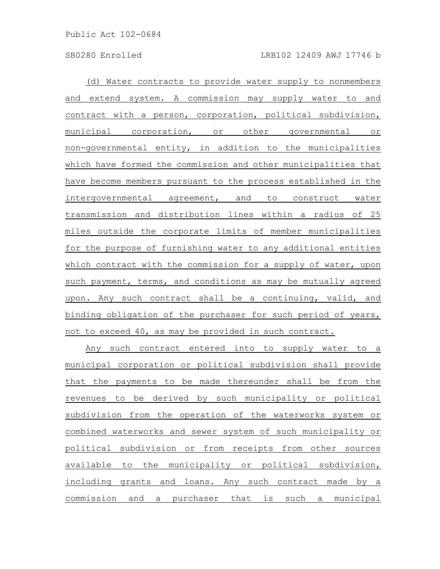(d) Water contracts to provide water supply to nonmembers and extend system. A commission may supply water to and contract with a person, corporation, political subdivision, municipal corporation, or other governmental or non-governmental entity, in addition to the municipalities which have formed the commission and other municipalities that have become members pursuant to the process established in the intergovernmental agreement, and to construct water transmission and distribution lines within a radius of 25 miles outside the corporate limits of member municipalities for the purpose of furnishing water to any additional entities which contract with the commission for a supply of water, upon such payment, terms, and conditions as may be mutually agreed upon. Any such contract shall be a continuing, valid, and binding obligation of the purchaser for such period of years, not to exceed 40, as may be provided in such contract.

Any such contract entered into to supply water to a municipal corporation or political subdivision shall provide that the payments to be made thereunder shall be from the revenues to be derived by such municipality or political subdivision from the operation of the waterworks system or combined waterworks and sewer system of such municipality or political subdivision or from receipts from other sources available to the municipality or political subdivision, including grants and loans. Any such contract made by a commission and a purchaser that is such a municipal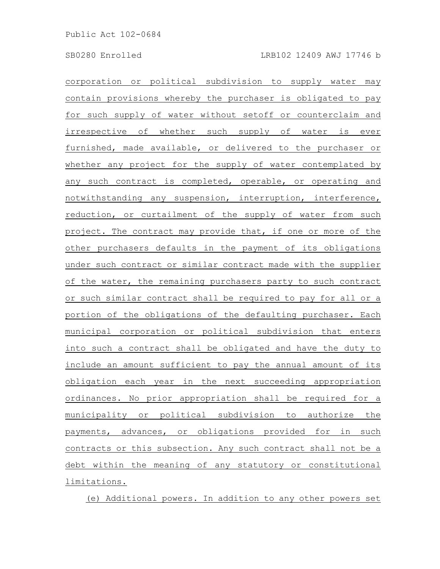corporation or political subdivision to supply water may contain provisions whereby the purchaser is obligated to pay for such supply of water without setoff or counterclaim and irrespective of whether such supply of water is ever furnished, made available, or delivered to the purchaser or whether any project for the supply of water contemplated by any such contract is completed, operable, or operating and notwithstanding any suspension, interruption, interference, reduction, or curtailment of the supply of water from such project. The contract may provide that, if one or more of the other purchasers defaults in the payment of its obligations under such contract or similar contract made with the supplier of the water, the remaining purchasers party to such contract or such similar contract shall be required to pay for all or a portion of the obligations of the defaulting purchaser. Each municipal corporation or political subdivision that enters into such a contract shall be obligated and have the duty to include an amount sufficient to pay the annual amount of its obligation each year in the next succeeding appropriation ordinances. No prior appropriation shall be required for a municipality or political subdivision to authorize the payments, advances, or obligations provided for in such contracts or this subsection. Any such contract shall not be a debt within the meaning of any statutory or constitutional limitations.

(e) Additional powers. In addition to any other powers set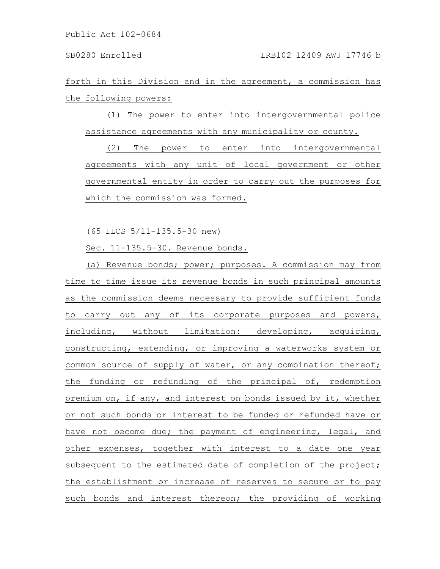forth in this Division and in the agreement, a commission has the following powers:

(1) The power to enter into intergovernmental police assistance agreements with any municipality or county.

(2) The power to enter into intergovernmental agreements with any unit of local government or other governmental entity in order to carry out the purposes for which the commission was formed.

(65 ILCS 5/11-135.5-30 new)

Sec. 11-135.5-30. Revenue bonds.

(a) Revenue bonds; power; purposes. A commission may from time to time issue its revenue bonds in such principal amounts as the commission deems necessary to provide sufficient funds to carry out any of its corporate purposes and powers, including, without limitation: developing, acquiring, constructing, extending, or improving a waterworks system or common source of supply of water, or any combination thereof; the funding or refunding of the principal of, redemption premium on, if any, and interest on bonds issued by it, whether or not such bonds or interest to be funded or refunded have or have not become due; the payment of engineering, legal, and other expenses, together with interest to a date one year subsequent to the estimated date of completion of the project; the establishment or increase of reserves to secure or to pay such bonds and interest thereon; the providing of working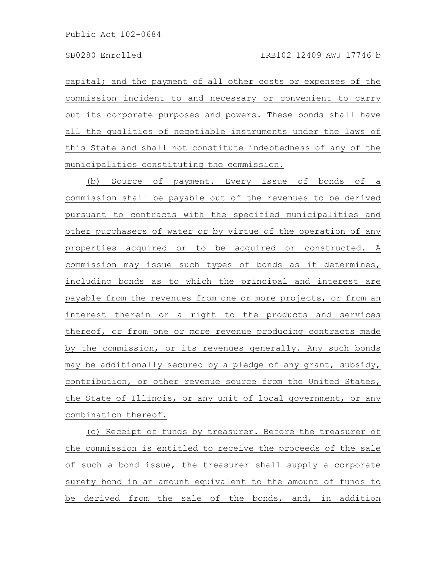capital; and the payment of all other costs or expenses of the commission incident to and necessary or convenient to carry out its corporate purposes and powers. These bonds shall have all the qualities of negotiable instruments under the laws of this State and shall not constitute indebtedness of any of the municipalities constituting the commission.

(b) Source of payment. Every issue of bonds of a commission shall be payable out of the revenues to be derived pursuant to contracts with the specified municipalities and other purchasers of water or by virtue of the operation of any properties acquired or to be acquired or constructed. A commission may issue such types of bonds as it determines, including bonds as to which the principal and interest are payable from the revenues from one or more projects, or from an interest therein or a right to the products and services thereof, or from one or more revenue producing contracts made by the commission, or its revenues generally. Any such bonds may be additionally secured by a pledge of any grant, subsidy, contribution, or other revenue source from the United States, the State of Illinois, or any unit of local government, or any combination thereof.

(c) Receipt of funds by treasurer. Before the treasurer of the commission is entitled to receive the proceeds of the sale of such a bond issue, the treasurer shall supply a corporate surety bond in an amount equivalent to the amount of funds to be derived from the sale of the bonds, and, in addition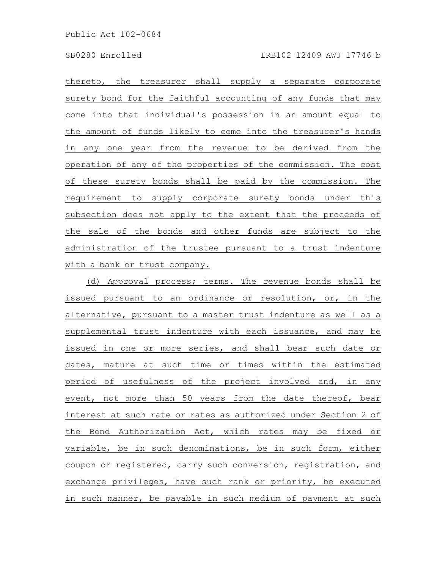thereto, the treasurer shall supply a separate corporate surety bond for the faithful accounting of any funds that may come into that individual's possession in an amount equal to the amount of funds likely to come into the treasurer's hands in any one year from the revenue to be derived from the operation of any of the properties of the commission. The cost of these surety bonds shall be paid by the commission. The requirement to supply corporate surety bonds under this subsection does not apply to the extent that the proceeds of the sale of the bonds and other funds are subject to the administration of the trustee pursuant to a trust indenture with a bank or trust company.

(d) Approval process; terms. The revenue bonds shall be issued pursuant to an ordinance or resolution, or, in the alternative, pursuant to a master trust indenture as well as a supplemental trust indenture with each issuance, and may be issued in one or more series, and shall bear such date or dates, mature at such time or times within the estimated period of usefulness of the project involved and, in any event, not more than 50 years from the date thereof, bear interest at such rate or rates as authorized under Section 2 of the Bond Authorization Act, which rates may be fixed or variable, be in such denominations, be in such form, either coupon or registered, carry such conversion, registration, and exchange privileges, have such rank or priority, be executed in such manner, be payable in such medium of payment at such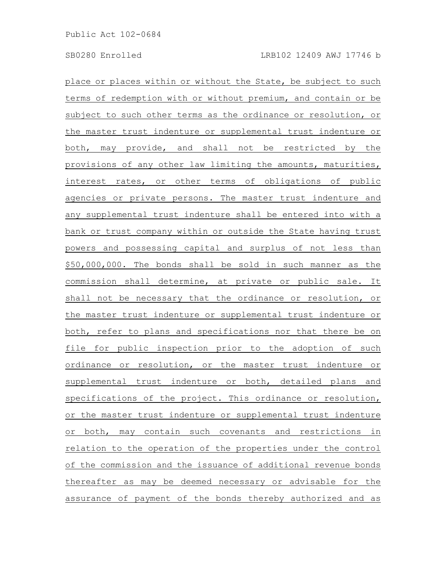place or places within or without the State, be subject to such terms of redemption with or without premium, and contain or be subject to such other terms as the ordinance or resolution, or the master trust indenture or supplemental trust indenture or both, may provide, and shall not be restricted by the provisions of any other law limiting the amounts, maturities, interest rates, or other terms of obligations of public agencies or private persons. The master trust indenture and any supplemental trust indenture shall be entered into with a bank or trust company within or outside the State having trust powers and possessing capital and surplus of not less than \$50,000,000. The bonds shall be sold in such manner as the commission shall determine, at private or public sale. It shall not be necessary that the ordinance or resolution, or the master trust indenture or supplemental trust indenture or both, refer to plans and specifications nor that there be on file for public inspection prior to the adoption of such ordinance or resolution, or the master trust indenture or supplemental trust indenture or both, detailed plans and specifications of the project. This ordinance or resolution, or the master trust indenture or supplemental trust indenture or both, may contain such covenants and restrictions in relation to the operation of the properties under the control of the commission and the issuance of additional revenue bonds thereafter as may be deemed necessary or advisable for the assurance of payment of the bonds thereby authorized and as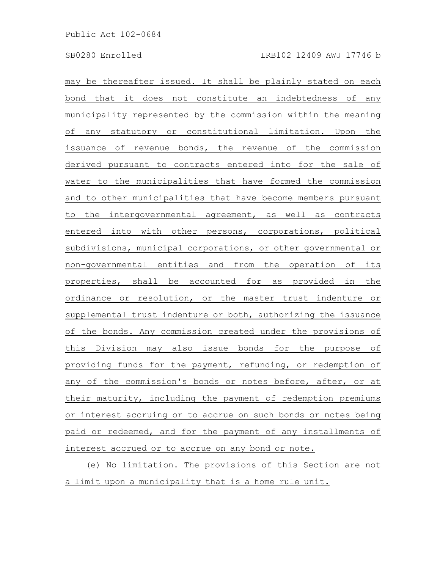may be thereafter issued. It shall be plainly stated on each bond that it does not constitute an indebtedness of any municipality represented by the commission within the meaning of any statutory or constitutional limitation. Upon the issuance of revenue bonds, the revenue of the commission derived pursuant to contracts entered into for the sale of water to the municipalities that have formed the commission and to other municipalities that have become members pursuant to the intergovernmental agreement, as well as contracts entered into with other persons, corporations, political subdivisions, municipal corporations, or other governmental or non-governmental entities and from the operation of its properties, shall be accounted for as provided in the ordinance or resolution, or the master trust indenture or supplemental trust indenture or both, authorizing the issuance of the bonds. Any commission created under the provisions of this Division may also issue bonds for the purpose of providing funds for the payment, refunding, or redemption of any of the commission's bonds or notes before, after, or at their maturity, including the payment of redemption premiums or interest accruing or to accrue on such bonds or notes being paid or redeemed, and for the payment of any installments of interest accrued or to accrue on any bond or note.

(e) No limitation. The provisions of this Section are not a limit upon a municipality that is a home rule unit.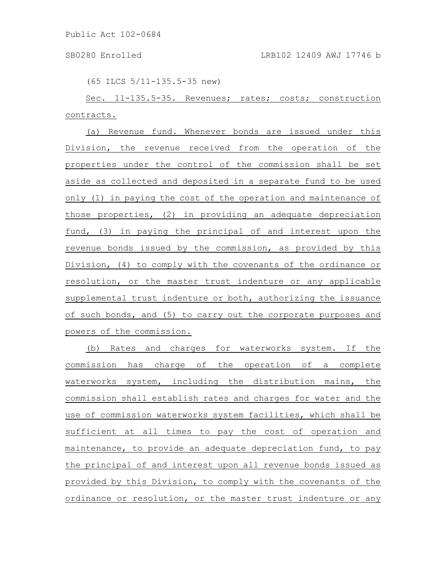## SB0280 Enrolled LRB102 12409 AWJ 17746 b

(65 ILCS 5/11-135.5-35 new)

Sec. 11-135.5-35. Revenues; rates; costs; construction contracts.

(a) Revenue fund. Whenever bonds are issued under this Division, the revenue received from the operation of the properties under the control of the commission shall be set aside as collected and deposited in a separate fund to be used only (1) in paying the cost of the operation and maintenance of those properties, (2) in providing an adequate depreciation fund, (3) in paying the principal of and interest upon the revenue bonds issued by the commission, as provided by this Division, (4) to comply with the covenants of the ordinance or resolution, or the master trust indenture or any applicable supplemental trust indenture or both, authorizing the issuance of such bonds, and (5) to carry out the corporate purposes and powers of the commission.

(b) Rates and charges for waterworks system. If the commission has charge of the operation of a complete waterworks system, including the distribution mains, the commission shall establish rates and charges for water and the use of commission waterworks system facilities, which shall be sufficient at all times to pay the cost of operation and maintenance, to provide an adequate depreciation fund, to pay the principal of and interest upon all revenue bonds issued as provided by this Division, to comply with the covenants of the ordinance or resolution, or the master trust indenture or any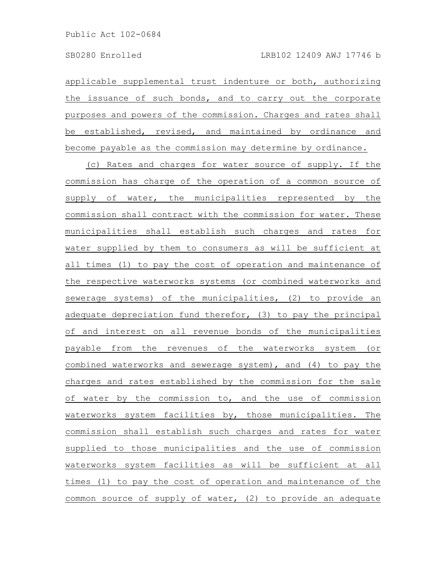applicable supplemental trust indenture or both, authorizing the issuance of such bonds, and to carry out the corporate purposes and powers of the commission. Charges and rates shall be established, revised, and maintained by ordinance and become payable as the commission may determine by ordinance.

(c) Rates and charges for water source of supply. If the commission has charge of the operation of a common source of supply of water, the municipalities represented by the commission shall contract with the commission for water. These municipalities shall establish such charges and rates for water supplied by them to consumers as will be sufficient at all times (1) to pay the cost of operation and maintenance of the respective waterworks systems (or combined waterworks and sewerage systems) of the municipalities, (2) to provide an adequate depreciation fund therefor, (3) to pay the principal of and interest on all revenue bonds of the municipalities payable from the revenues of the waterworks system (or combined waterworks and sewerage system), and (4) to pay the charges and rates established by the commission for the sale of water by the commission to, and the use of commission waterworks system facilities by, those municipalities. The commission shall establish such charges and rates for water supplied to those municipalities and the use of commission waterworks system facilities as will be sufficient at all times (1) to pay the cost of operation and maintenance of the common source of supply of water, (2) to provide an adequate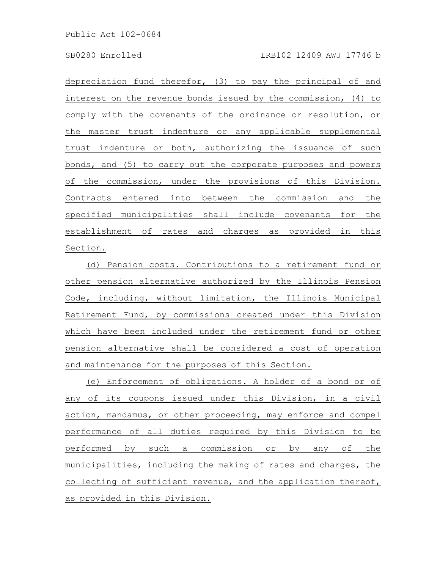depreciation fund therefor, (3) to pay the principal of and interest on the revenue bonds issued by the commission, (4) to comply with the covenants of the ordinance or resolution, or the master trust indenture or any applicable supplemental trust indenture or both, authorizing the issuance of such bonds, and (5) to carry out the corporate purposes and powers of the commission, under the provisions of this Division. Contracts entered into between the commission and the specified municipalities shall include covenants for the establishment of rates and charges as provided in this Section.

(d) Pension costs. Contributions to a retirement fund or other pension alternative authorized by the Illinois Pension Code, including, without limitation, the Illinois Municipal Retirement Fund, by commissions created under this Division which have been included under the retirement fund or other pension alternative shall be considered a cost of operation and maintenance for the purposes of this Section.

(e) Enforcement of obligations. A holder of a bond or of any of its coupons issued under this Division, in a civil action, mandamus, or other proceeding, may enforce and compel performance of all duties required by this Division to be performed by such a commission or by any of the municipalities, including the making of rates and charges, the collecting of sufficient revenue, and the application thereof, as provided in this Division.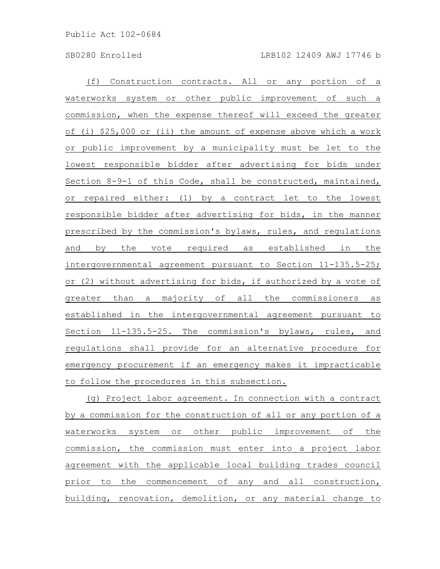(f) Construction contracts. All or any portion of a waterworks system or other public improvement of such a commission, when the expense thereof will exceed the greater of (i) \$25,000 or (ii) the amount of expense above which a work or public improvement by a municipality must be let to the lowest responsible bidder after advertising for bids under Section 8-9-1 of this Code, shall be constructed, maintained, or repaired either: (1) by a contract let to the lowest responsible bidder after advertising for bids, in the manner prescribed by the commission's bylaws, rules, and regulations and by the vote required as established in the intergovernmental agreement pursuant to Section 11-135.5-25; or (2) without advertising for bids, if authorized by a vote of greater than a majority of all the commissioners as established in the intergovernmental agreement pursuant to Section 11-135.5-25. The commission's bylaws, rules, and regulations shall provide for an alternative procedure for emergency procurement if an emergency makes it impracticable to follow the procedures in this subsection.

(g) Project labor agreement. In connection with a contract by a commission for the construction of all or any portion of a waterworks system or other public improvement of the commission, the commission must enter into a project labor agreement with the applicable local building trades council prior to the commencement of any and all construction, building, renovation, demolition, or any material change to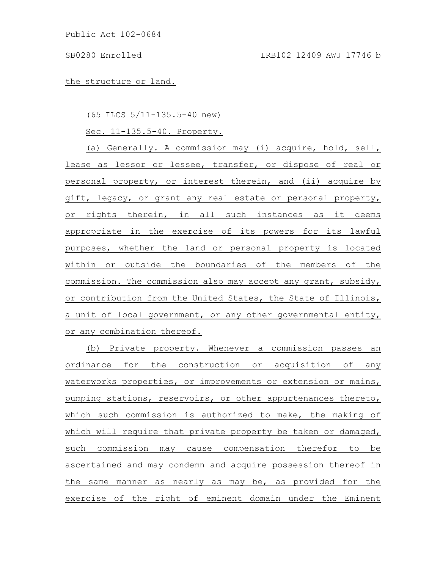the structure or land.

(65 ILCS 5/11-135.5-40 new)

Sec. 11-135.5-40. Property.

(a) Generally. A commission may (i) acquire, hold, sell, lease as lessor or lessee, transfer, or dispose of real or personal property, or interest therein, and (ii) acquire by gift, legacy, or grant any real estate or personal property, or rights therein, in all such instances as it deems appropriate in the exercise of its powers for its lawful purposes, whether the land or personal property is located within or outside the boundaries of the members of the commission. The commission also may accept any grant, subsidy, or contribution from the United States, the State of Illinois, a unit of local government, or any other governmental entity, or any combination thereof.

(b) Private property. Whenever a commission passes an ordinance for the construction or acquisition of any waterworks properties, or improvements or extension or mains, pumping stations, reservoirs, or other appurtenances thereto, which such commission is authorized to make, the making of which will require that private property be taken or damaged, such commission may cause compensation therefor to be ascertained and may condemn and acquire possession thereof in the same manner as nearly as may be, as provided for the exercise of the right of eminent domain under the Eminent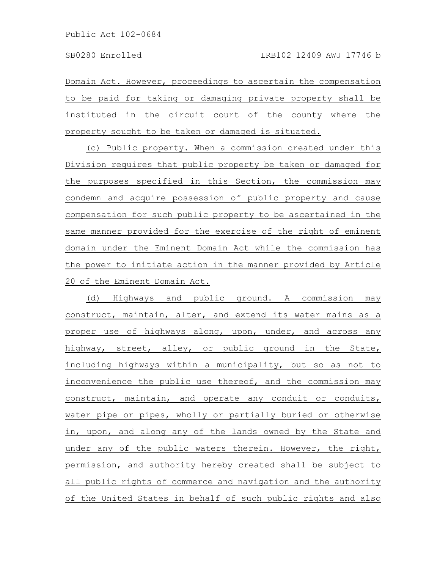Domain Act. However, proceedings to ascertain the compensation to be paid for taking or damaging private property shall be instituted in the circuit court of the county where the property sought to be taken or damaged is situated.

(c) Public property. When a commission created under this Division requires that public property be taken or damaged for the purposes specified in this Section, the commission may condemn and acquire possession of public property and cause compensation for such public property to be ascertained in the same manner provided for the exercise of the right of eminent domain under the Eminent Domain Act while the commission has the power to initiate action in the manner provided by Article 20 of the Eminent Domain Act.

(d) Highways and public ground. A commission may construct, maintain, alter, and extend its water mains as a proper use of highways along, upon, under, and across any highway, street, alley, or public ground in the State, including highways within a municipality, but so as not to inconvenience the public use thereof, and the commission may construct, maintain, and operate any conduit or conduits, water pipe or pipes, wholly or partially buried or otherwise in, upon, and along any of the lands owned by the State and under any of the public waters therein. However, the right, permission, and authority hereby created shall be subject to all public rights of commerce and navigation and the authority of the United States in behalf of such public rights and also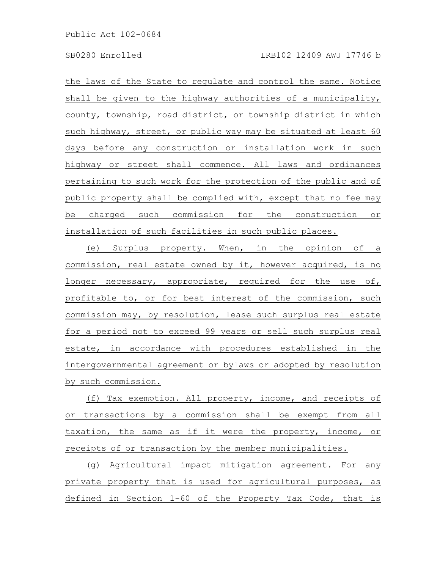the laws of the State to regulate and control the same. Notice shall be given to the highway authorities of a municipality, county, township, road district, or township district in which such highway, street, or public way may be situated at least 60 days before any construction or installation work in such highway or street shall commence. All laws and ordinances pertaining to such work for the protection of the public and of public property shall be complied with, except that no fee may be charged such commission for the construction or installation of such facilities in such public places.

(e) Surplus property. When, in the opinion of a commission, real estate owned by it, however acquired, is no longer necessary, appropriate, required for the use of, profitable to, or for best interest of the commission, such commission may, by resolution, lease such surplus real estate for a period not to exceed 99 years or sell such surplus real estate, in accordance with procedures established in the intergovernmental agreement or bylaws or adopted by resolution by such commission.

(f) Tax exemption. All property, income, and receipts of or transactions by a commission shall be exempt from all taxation, the same as if it were the property, income, or receipts of or transaction by the member municipalities.

(g) Agricultural impact mitigation agreement. For any private property that is used for agricultural purposes, as defined in Section 1-60 of the Property Tax Code, that is